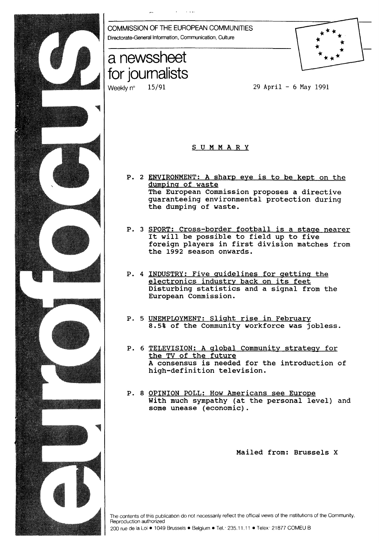

29 April - 6 May 1991

- P. 2 ENVIRONMENT: A sharp eye is to be kept on the The European Commission proposes a directive guaranteeing environmental protection during
- P. 3 SPORT: Cross-border football is a stage nearer It will be possible to field up to five foreign players in first division matches from
- P. 4 INDUSTRY: Five guidelines for getting the electronics industry back on its feet Disturbing statistics and a signal from the
- P. 5 UNEMPLOYMENT: Slight rise in Februarv 8.5% of the Community workforce was jobless.
- P. 6 TELEVISION: A global Community strategy for A consensus is needed for the introduction of high-definition television.
- P. 8 OPINION POLL: How Americans see Europe With much sympathy (at the personal level) and

Mailed from: Brussels X

The contents of this publication do not necessarily reflect the official views of the institutions of the Community.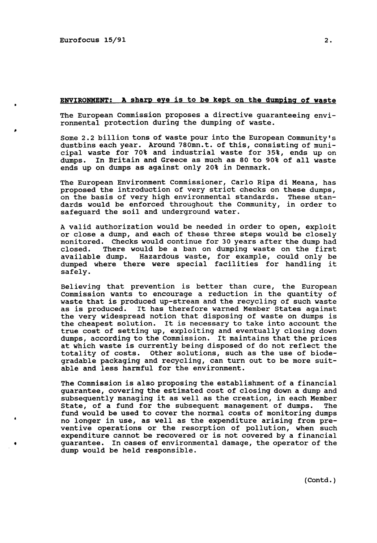•

#### ENVIRONMENT: A sharp eye is to be kept on the dumping of waste

The European Commission proposes a directive guaranteeing environmental protection during the dumping of waste.

Some 2.2 billion tons of waste pour into the European Community's dustbins each year. Around 780mn.t. of this, consisting of municipal waste for 70% and industrial waste for 35%, ends up on dumps. In Britain and Greece as much as 80 to 90% of all waste ends up on dumps as against only 20% in Denmark.

The European Environment Commissioner, Carlo Ripa di Meana, has proposed the introduction of very strict checks on these dumps, on the basis of very high environmental standards. These standards would be enforced throughout the Community, in order to safeguard the soil and underground water.

A valid authorization would be needed in order to open, exploit or close a dump, and each of these three steps would be closely monitored. Checks would continue for 30 years after the dump had closed. There would be a ban on dumping waste on the first There would be a ban on dumping waste on the first available dump. Hazardous waste, for example, could only be dumped where there were special facilities for handling it safely.

Believing that prevention is better than cure, the European Commission wants to encourage a reduction in the quantity of waste that is produced up-stream and the recycling of such waste as is produced. It has therefore warned Member States against the very widespread notion that disposing of waste on dumps is the cheapest solution. It is necessary to take into account the true cost of setting up, exploiting and eventually closing down dumps, according to the Commission. It maintains that the prices at which waste is currently being disposed of do not reflect the totality of costs. Other solutions, such as the use of biodegradable packaging and recycling, can turn out to be more suitable and less harmful for the environment.

The Commission is also proposing the establishment of a financial guarantee, covering the estimated cost of closing down a dump and subsequently managing it as well as the creation, in each Member state, of a fund for the subsequent management of dumps. fund would be used to cover the normal costs of monitoring dumps no longer in use, as well as the expenditure arising from preventive operations or the resorption of pollution, when such expenditure cannot be recovered or is not covered by a financial guarantee. In cases of environmental damage, the operator of the dump would be held responsible.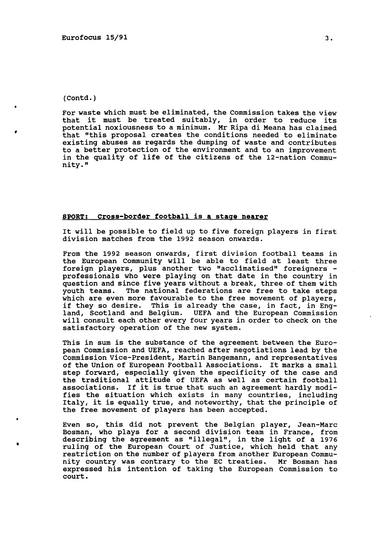•

•

For waste which must be eliminated, the Commission takes the view that it must be treated suitably, in order to reduce its potential noxiousness to a minimum. Mr Ripa di Meana has claimed that "this proposal creates the conditions needed to eliminate existing abuses as regards the dumping of waste and contributes to a better protection of the environment and to an improvement in the quality of life of the citizens of the 12-nation Community."

## SPORT: cross-border football is a stage nearer

It will be possible to field up to five foreign players in first division matches from the 1992 season onwards.

From the 1992 season onwards, first division football teams in the European Community will be able to field at least three<br>foreign players, plus another two "acclimatised" foreigners professionals who were playing on that date in the country in question and since five years without a break, three of them with<br>youth teams. The national federations are free to take steps The national federations are free to take steps which are even more favourable to the free movement of players, if they so desire. This is already the case, in fact, in Eng-<br>land, Scotland and Belgium. UEFA and the European Commission UEFA and the European Commission will consult each other every four years in order to check on the satisfactory operation of the new system.

This in sum is the substance of the agreement between the European Commission and UEFA, reached after negotiations lead by the Commission Vice-President, Martin Bangemann, and representatives of the Union of European Football Associations. It marks a small step forward, especially given the specificity of the case and the traditional attitude of UEFA as well as certain football associations. If it is true that such an agreement hardly modifies the situation which exists in many countries, including Italy, it is equally true, and noteworthy, that the principle of the free movement of players has been accepted.

Even so, this did not prevent the Belgian player, Jean-Marc Bosman, who plays for a second division team in France, from describing the agreement as "illegal", in the light of a 1976 ruling of the European Court of Justice, which held that any restriction on the number of players from another European Community country was contrary to the EC treaties. Mr Bosman has expressed his intention of taking the European Commission to court.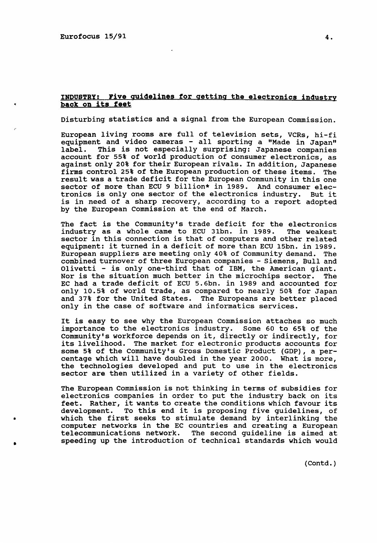Eurofocus 15/91 4.

•

•

# INDUSTRY: Pive guidelines for getting the electronics industry back on its feet

Disturbing statistics and a signal from the European Commission.

European living rooms are full of television sets, VCRs, hi-fi equipment and video cameras - all sporting a "Made in Japan"<br>label. This is not especially surprising: Japanese companies This is not especially surprising: Japanese companies account for 55% of world production of consumer electronics, as against only 20% for their European rivals. In addition, Japanese firms control 25% of the European production of these items. The result was a trade deficit for the European Community in this one sector of more than ECU 9 billion\* in 1989. And consumer electronics is only one sector of the electronics industry. But it is in need of a sharp recovery, according to a report adopted by the European Commission at the end of March.

The fact is the Community's trade deficit for the electronics industry as a whole came to ECU 31bn. in 1989. The weakest industry as a whole came to ECU 31bn. in 1989. sector in this connection is that of computers and other related equipment: it turned in a deficit of more than ECU 15bn. in 1989. European suppliers are meeting only 40% of Community demand. The combined turnover of three European companies - Siemens, Bull and Olivetti - is only one-third that of IBM, the American giant.<br>Nor is the situation much better in the microchips sector. The Nor is the situation much better in the microchips sector. EC had a trade deficit of ECU 5.6bn. in 1989 and accounted for only 10.5% of world trade, as compared to nearly 50% for Japan and 37% for the United States. The Europeans are better placed only in the case of software and informatics services.

It is easy to see why the European Commission attaches so much importance to the electronics industry. Some 60 to 65% of the Community's workforce depends on it, directly or indirectly, for its livelihood. The market for electronic products accounts for some 5% of the Community's Gross Domestic Product (GOP), a persome 5. Of the community 5 cross bomestic frouded (GBF), a per-<br>centage which will have doubled in the year 2000. What is more, the technologies developed and put to use in the electronics sector are then utilized in a variety of other fields.

The European Commission is not thinking in terms of subsidies for electronics companies in order to put the industry back on its feet. Rather, it wants to create the conditions which favour its development. To this end it is proposing five guidelines, of deveropment. To this end it is proposing live guidelines, of which the first seeks to stimulate demand by interlinking the computer networks in the EC countries and creating a European telecommunications network. The second guideline is aimed at The second quideline is aimed at speeding up the introduction of technical standards which would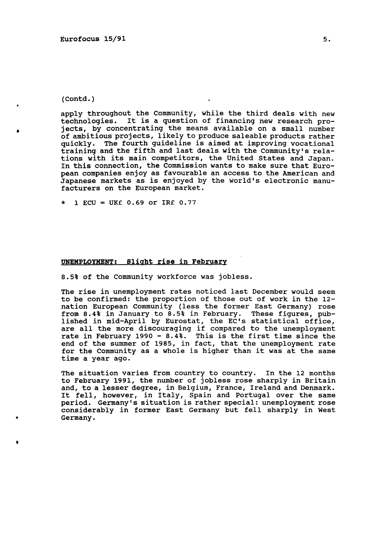•

•

I

apply throughout the Community, while the third deals with new technologies. It is a question of financing new research projects, by concentrating the means available on a small number of ambitious projects, likely to produce saleable products rather quickly. The fourth guideline is aimed at improving vocational training and the fifth and last deals with the Community's relations with its main competitors, the United States and Japan. In this connection, the Commission wants to make sure that European companies enjoy as favourable an access to the American and Japanese markets as is enjoyed by the world's electronic manufacturers on the European market.

 $1$  ECU = UK£ 0.69 or IR£ 0.77

### UNEMPLOYMENT: Slight rise in February

8.5% of the Community workforce was jobless.

The rise in unemployment rates noticed last December would seem to be confirmed: the proportion of those out of work in the 12 nation European Community (less the former East Germany) rose from 8.4% in January to 8.5% in February. These figures, published in mid-April by Eurostat, the EC's statistical office, itshed in mid-April by Ediostat, the EC s statistical Ullice,<br>are all the more discouraging if compared to the unemployment rate in February 1990 - 8.4%. This is the first time since the end of the summer of 1985, in fact, that the unemployment rate for the Community as a whole is higher than it was at the same time a year ago.

The situation varies from country to country. In the 12 months to February 1991, the number of jobless rose sharply in Britain and, to a lesser degree, in Belgium, France, Ireland and Denmark. It fell, however, in Italy, Spain and Portugal over the same period. Germany's situation is rather special: unemployment rose considerably in former East Germany but fell sharply in West Germany •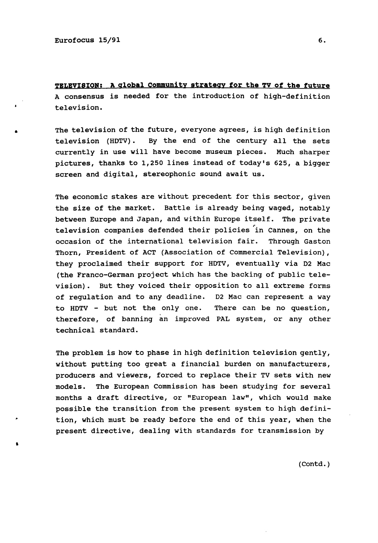•

•

**TELEVISION: A global Community strategy for the TV of the future**  A consensus is needed for the introduction of high-definition television.

The television of the future, everyone agrees, is high definition television (HDTV) • By the end of the century all the sets currently in use will have become museum pieces. Much sharper pictures, thanks to 1,250 lines instead of today's 625, a bigger screen and digital, stereophonic sound await us.

The economic stakes are without precedent for this sector, given the size of the market. Battle is already being waged, notably between Europe and Japan, and within Europe itself. The private television companies defended their policies in Cannes, on the occasion of the international television fair. Through Gaston Thorn, President of ACT (Association of Commercial Television), they proclaimed their support for HDTV, eventually via D2 Mac (the Franco-German project which has the backing of public television). But they voiced their opposition to all extreme forms of regulation and to any deadline. D2 Mac can represent a way to HDTV - but not the only one. There can be no question, therefore, of banning an improved PAL system, or any other technical standard.

The problem is how to phase in high definition television gently, without putting too great a financial burden on manufacturers, producers and viewers, forced to replace their TV sets with new models. The European Commission has been studying for several months a draft directive, or "European law", which would make possible the transition from the present system to high definition, which must be ready before the end of this year, when the present directive, dealing with standards for transmission by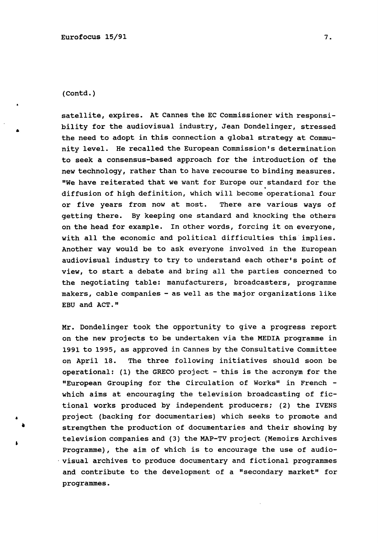satellite, expires. At Cannes the EC Commissioner with responsibility for the audiovisual industry, Jean Dondelinger, stressed the need to adopt in this connection a global strategy at Community level. He recalled the European Commission's determination to seek a consensus-based approach for the introduction of the new technology, rather than to have recourse to binding measures. "We have reiterated that we want for Europe our standard for the diffusion of high definition, which will become operational four or five years from now at most. There are various ways of getting there. By keeping one standard and knocking the others on the head for example. In other words, forcing it on everyone, with all the economic and political difficulties this implies. Another way would be to ask everyone involved in the European audiovisual industry to try to understand each other's point of view, to start a debate and bring all the parties concerned to the negotiating table: manufacturers, broadcasters, programme makers, cable companies - as well as the major organizations like EBU and ACT."

Mr. Dondelinger took the opportunity to give a progress report on the new projects to be undertaken via the MEDIA programme in 1991 to 1995, as approved in cannes by the Consultative Committee on April 18. The three following initiatives should soon be operational: (1) the GRECO project - this is the acronym for the "European Grouping for the Circulation of Works" in French which aims at encouraging the television broadcasting of fictional works produced by independent producers; (2) the IVENS project (backing for documentaries) which seeks to promote and strengthen the production of documentaries and their showing by television companies and (3) the MAP-TV project (Memoirs Archives Programme), the aim of which is to encourage the use of audio- . visual archives to produce documentary and fictional programmes and contribute to the development of a "secondary market" for programmes.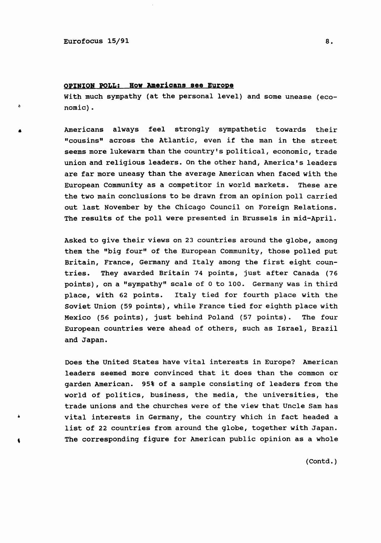•

 $\hat{\pmb{c}}$ 

### **OPINION POLL: How Americans see Europe**

With much sympathy (at the personal level) and some unease (economic).

Americans always feel strongly sympathetic towards their "cousins" across the Atlantic, even if the man in the street seems more lukewarm than the country's political, economic, trade union and religious leaders. On the other hand, America's leaders are far more uneasy than the average American when faced with the European Community as a competitor in world markets. These are the two main conclusions to be drawn from an opinion poll carried out last November by the Chicago Council on Foreign Relations. The results of the poll were presented in Brussels in mid-April.

Asked to give their views on 23 countries around the globe, among them the "big four" of the European Community, those polled put Britain, France, Germany and Italy among the first eight countries. They awarded Britain 74 points, just after Canada (76 points) , on a "sympathy" scale of 0 to 100. Germany was in third place, with 62 points. Italy tied for fourth place with the soviet Union (59 points), while France tied for eighth place with Mexico (56 points), just behind Poland (57 points). The four European countries were ahead of others, such as Israel, Brazil and Japan.

Does the United States have vital interests in Europe? American leaders seemed more convinced that it does than the common or garden American. 95% of a sample consisting of leaders from the world of politics, business, the media, the universities, the trade unions and the churches were of the view that Uncle Sam has vital interests in Germany, the country which in fact headed a list of 22 countries from around the globe, together with Japan. The corresponding figure for American public opinion as a whole